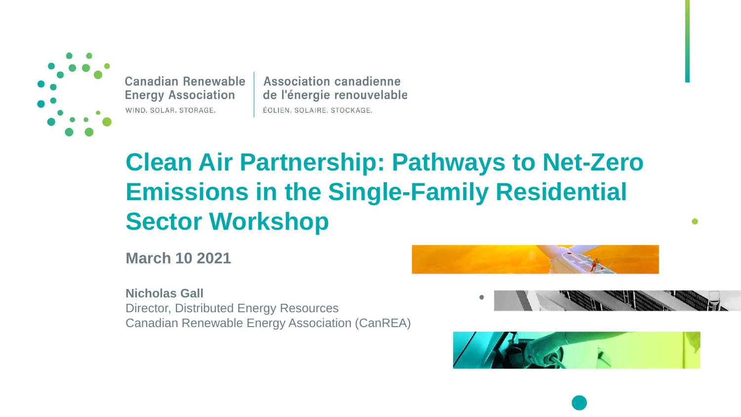

Canadian Renewable **Energy Association** WIND. SOLAR. STORAGE.

**Association canadienne** de l'énergie renouvelable ÉOLIEN. SOLAIRE. STOCKAGE.

# **Clean Air Partnership: Pathways to Net-Zero Emissions in the Single-Family Residential Sector Workshop**

**March 10 2021**

**Nicholas Gall** Director, Distributed Energy Resources Canadian Renewable Energy Association (CanREA)

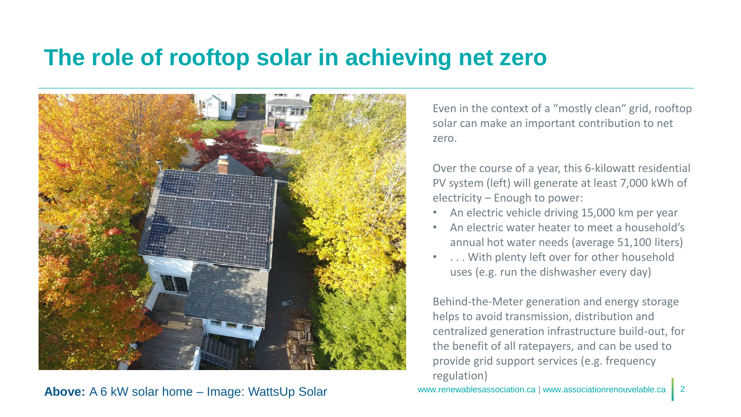#### **The role of rooftop solar in achieving net zero**



**Above:** A 6 kW solar home – Image: WattsUp Solar

Even in the context of a "mostly clean" grid, rooftop solar can make an important contribution to net zero.

Over the course of a year, this 6-kilowatt residential PV system (left) will generate at least 7,000 kWh of electricity – Enough to power:

- An electric vehicle driving 15,000 km per year
- An electric water heater to meet a household's annual hot water needs (average 51,100 liters)
- ... With plenty left over for other household uses (e.g. run the dishwasher every day)

Behind-the-Meter generation and energy storage helps to avoid transmission, distribution and centralized generation infrastructure build-out, for the benefit of all ratepayers, and can be used to provide grid support services (e.g. frequency regulation)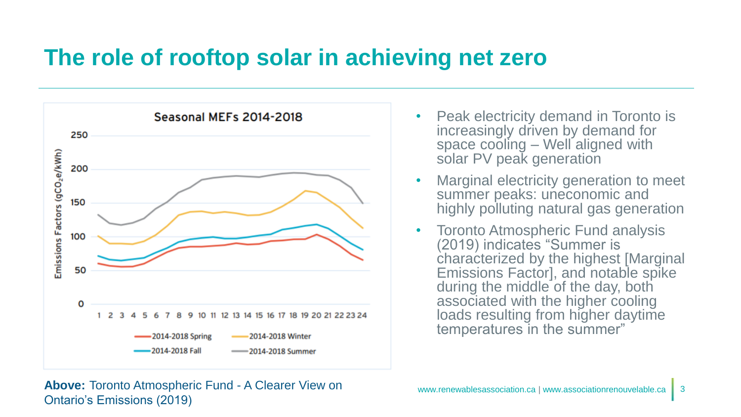### **The role of rooftop solar in achieving net zero**



- Peak electricity demand in Toronto is increasingly driven by demand for space cooling – Well aligned with solar PV peak generation
- Marginal electricity generation to meet summer peaks: uneconomic and highly polluting natural gas generation
- Toronto Atmospheric Fund analysis (2019) indicates "Summer is characterized by the highest [Marginal Emissions Factor], and notable spike during the middle of the day, both associated with the higher cooling loads resulting from higher daytime temperatures in the summer"

**Above:** Toronto Atmospheric Fund - A Clearer View on Ontario's Emissions (2019)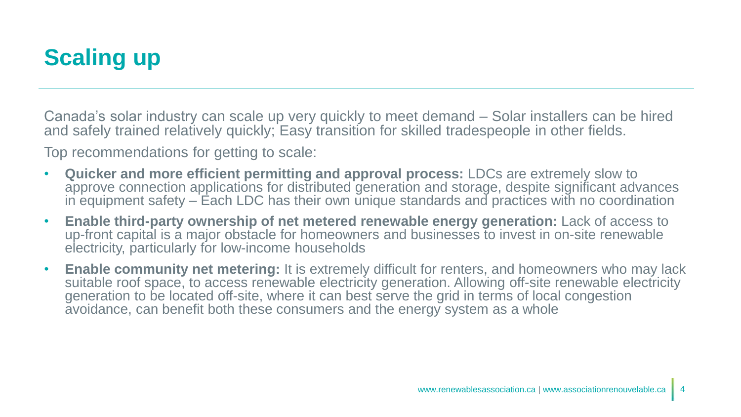## **Scaling up**

Canada's solar industry can scale up very quickly to meet demand – Solar installers can be hired and safely trained relatively quickly; Easy transition for skilled tradespeople in other fields.

Top recommendations for getting to scale:

- **Quicker and more efficient permitting and approval process:** LDCs are extremely slow to approve connection applications for distributed generation and storage, despite significant advances in equipment safety – Each LDC has their own unique standards and practices with no coordination
- **Enable third-party ownership of net metered renewable energy generation:** Lack of access to up-front capital is a major obstacle for homeowners and businesses to invest in on-site renewable electricity, particularly for low-income households
- **Enable community net metering:** It is extremely difficult for renters, and homeowners who may lack suitable roof space, to access renewable electricity generation. Allowing off-site renewable electricity generation to be located off-site, where it can best serve the grid in terms of local congestion avoidance, can benefit both these consumers and the energy system as a whole